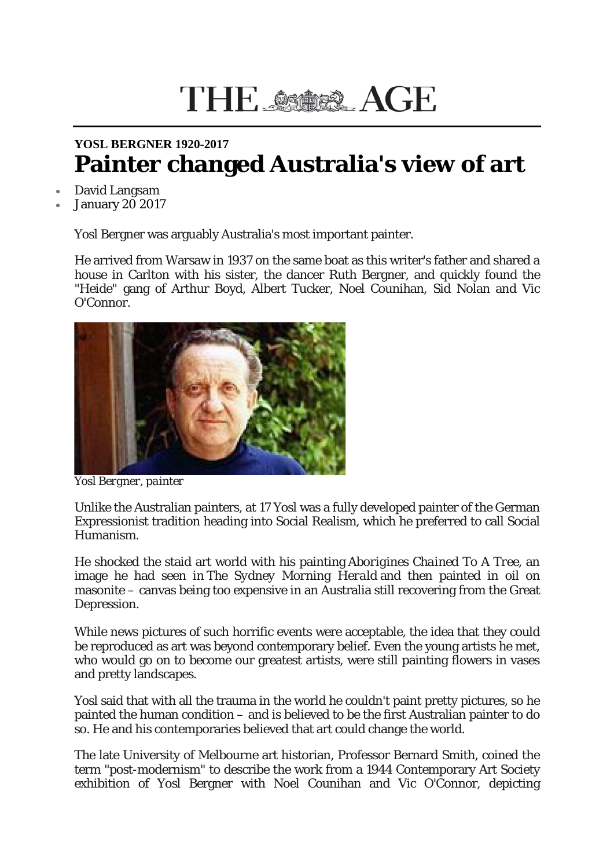## THE ASSESSES AGE

## **YOSL BERGNER 1920-2017 Painter changed Australia's view of art**

- David Langsam
- January 20 2017

Yosl Bergner was arguably Australia's most important painter.

He arrived from Warsaw in 1937 on the same boat as this writer's father and shared a house in Carlton with his sister, the dancer Ruth Bergner, and quickly found the "Heide" gang of Arthur Boyd, Albert Tucker, Noel Counihan, Sid Nolan and Vic O'Connor.



*Yosl Bergner, painter*

Unlike the Australian painters, at 17 Yosl was a fully developed painter of the German Expressionist tradition heading into Social Realism, which he preferred to call Social Humanism.

He shocked the staid art world with his painting *Aborigines Chained To A Tree*, an image he had seen in *The Sydney Morning Herald* and then painted in oil on masonite – canvas being too expensive in an Australia still recovering from the Great Depression.

While news pictures of such horrific events were acceptable, the idea that they could be reproduced as art was beyond contemporary belief. Even the young artists he met, who would go on to become our greatest artists, were still painting flowers in vases and pretty landscapes.

Yosl said that with all the trauma in the world he couldn't paint pretty pictures, so he painted the human condition – and is believed to be the first Australian painter to do so. He and his contemporaries believed that art could change the world.

The late University of Melbourne art historian, Professor Bernard Smith, coined the term "post-modernism" to describe the work from a 1944 Contemporary Art Society exhibition of Yosl Bergner with Noel Counihan and Vic O'Connor, depicting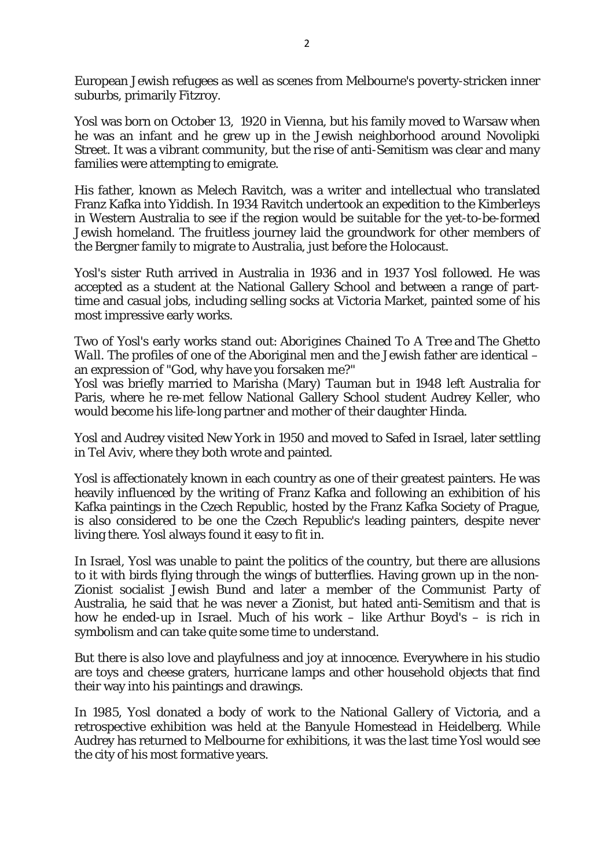European Jewish refugees as well as scenes from Melbourne's poverty-stricken inner suburbs, primarily Fitzroy.

Yosl was born on October 13, 1920 in Vienna, but his family moved to Warsaw when he was an infant and he grew up in the Jewish neighborhood around Novolipki Street. It was a vibrant community, but the rise of anti-Semitism was clear and many families were attempting to emigrate.

His father, known as Melech Ravitch, was a writer and intellectual who translated Franz Kafka into Yiddish. In 1934 Ravitch undertook an expedition to the Kimberleys in Western Australia to see if the region would be suitable for the yet-to-be-formed Jewish homeland. The fruitless journey laid the groundwork for other members of the Bergner family to migrate to Australia, just before the Holocaust.

Yosl's sister Ruth arrived in Australia in 1936 and in 1937 Yosl followed. He was accepted as a student at the National Gallery School and between a range of parttime and casual jobs, including selling socks at Victoria Market, painted some of his most impressive early works.

Two of Yosl's early works stand out: *Aborigines Chained To A Tree* and *The Ghetto Wall*. The profiles of one of the Aboriginal men and the Jewish father are identical – an expression of "God, why have you forsaken me?"

Yosl was briefly married to Marisha (Mary) Tauman but in 1948 left Australia for Paris, where he re-met fellow National Gallery School student Audrey Keller, who would become his life-long partner and mother of their daughter Hinda.

Yosl and Audrey visited New York in 1950 and moved to Safed in Israel, later settling in Tel Aviv, where they both wrote and painted.

Yosl is affectionately known in each country as one of their greatest painters. He was heavily influenced by the writing of Franz Kafka and following an exhibition of his Kafka paintings in the Czech Republic, hosted by the Franz Kafka Society of Prague, is also considered to be one the Czech Republic's leading painters, despite never living there. Yosl always found it easy to fit in.

In Israel, Yosl was unable to paint the politics of the country, but there are allusions to it with birds flying through the wings of butterflies. Having grown up in the non-Zionist socialist Jewish Bund and later a member of the Communist Party of Australia, he said that he was never a Zionist, but hated anti-Semitism and that is how he ended-up in Israel. Much of his work – like Arthur Boyd's – is rich in symbolism and can take quite some time to understand.

But there is also love and playfulness and joy at innocence. Everywhere in his studio are toys and cheese graters, hurricane lamps and other household objects that find their way into his paintings and drawings.

In 1985, Yosl donated a body of work to the National Gallery of Victoria, and a retrospective exhibition was held at the Banyule Homestead in Heidelberg. While Audrey has returned to Melbourne for exhibitions, it was the last time Yosl would see the city of his most formative years.